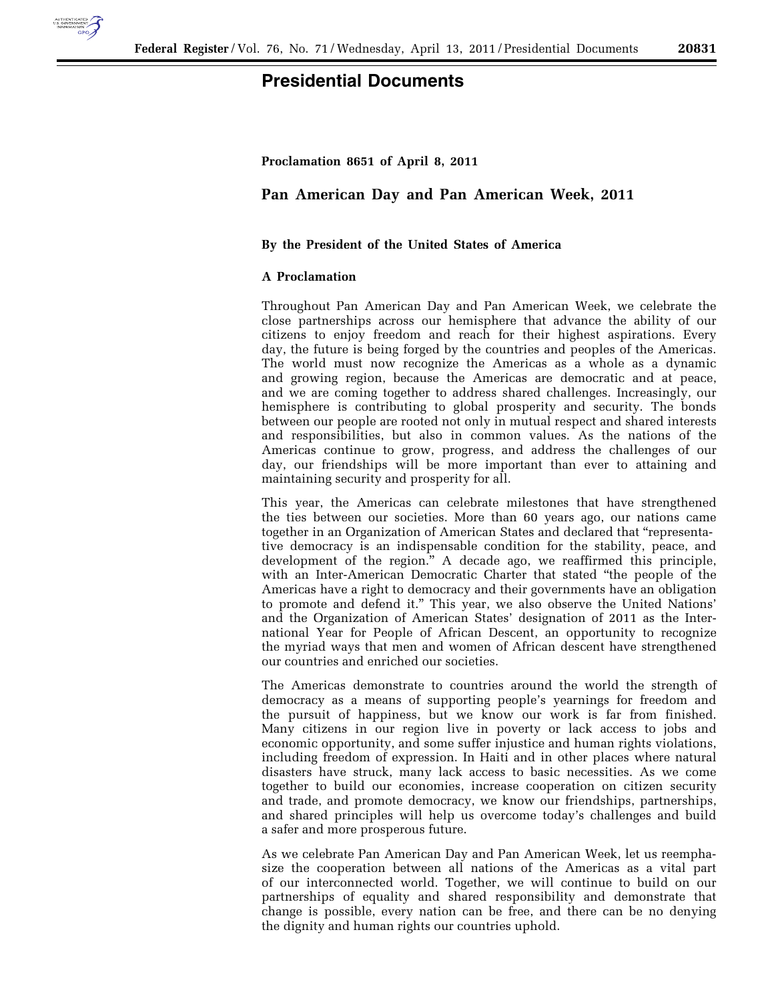

# **Presidential Documents**

### **Proclamation 8651 of April 8, 2011**

## **Pan American Day and Pan American Week, 2011**

### **By the President of the United States of America**

### **A Proclamation**

Throughout Pan American Day and Pan American Week, we celebrate the close partnerships across our hemisphere that advance the ability of our citizens to enjoy freedom and reach for their highest aspirations. Every day, the future is being forged by the countries and peoples of the Americas. The world must now recognize the Americas as a whole as a dynamic and growing region, because the Americas are democratic and at peace, and we are coming together to address shared challenges. Increasingly, our hemisphere is contributing to global prosperity and security. The bonds between our people are rooted not only in mutual respect and shared interests and responsibilities, but also in common values. As the nations of the Americas continue to grow, progress, and address the challenges of our day, our friendships will be more important than ever to attaining and maintaining security and prosperity for all.

This year, the Americas can celebrate milestones that have strengthened the ties between our societies. More than 60 years ago, our nations came together in an Organization of American States and declared that ''representative democracy is an indispensable condition for the stability, peace, and development of the region.'' A decade ago, we reaffirmed this principle, with an Inter-American Democratic Charter that stated "the people of the Americas have a right to democracy and their governments have an obligation to promote and defend it.'' This year, we also observe the United Nations' and the Organization of American States' designation of 2011 as the International Year for People of African Descent, an opportunity to recognize the myriad ways that men and women of African descent have strengthened our countries and enriched our societies.

The Americas demonstrate to countries around the world the strength of democracy as a means of supporting people's yearnings for freedom and the pursuit of happiness, but we know our work is far from finished. Many citizens in our region live in poverty or lack access to jobs and economic opportunity, and some suffer injustice and human rights violations, including freedom of expression. In Haiti and in other places where natural disasters have struck, many lack access to basic necessities. As we come together to build our economies, increase cooperation on citizen security and trade, and promote democracy, we know our friendships, partnerships, and shared principles will help us overcome today's challenges and build a safer and more prosperous future.

As we celebrate Pan American Day and Pan American Week, let us reemphasize the cooperation between all nations of the Americas as a vital part of our interconnected world. Together, we will continue to build on our partnerships of equality and shared responsibility and demonstrate that change is possible, every nation can be free, and there can be no denying the dignity and human rights our countries uphold.